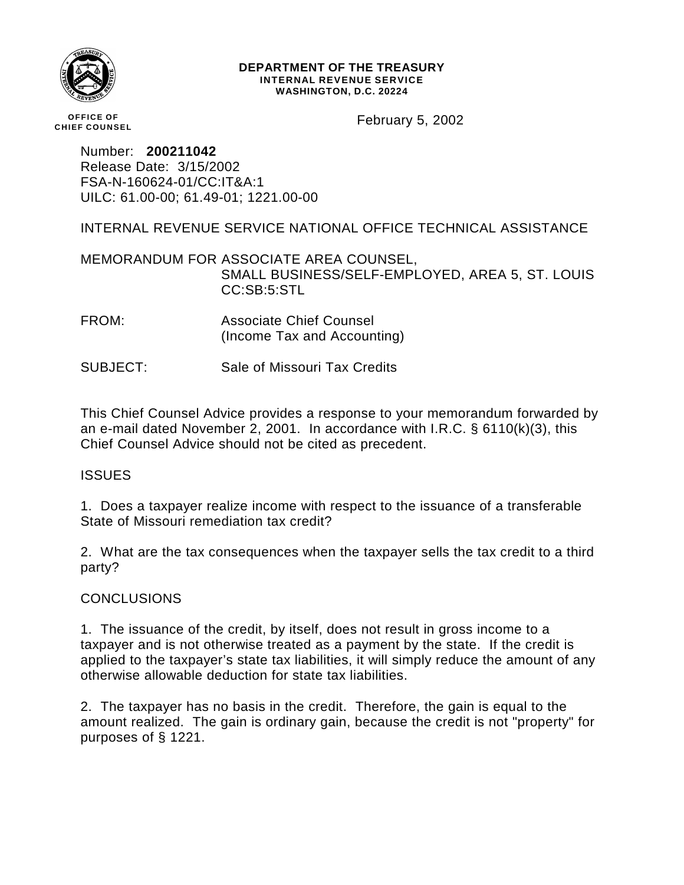

#### **DEPARTMENT OF THE TREASURY INTERNAL REVENUE SERVICE WASHINGTON, D.C. 20224**

**OFFICE OF CHIEF COUNSEL** February 5, 2002

Number: **200211042** Release Date: 3/15/2002 FSA-N-160624-01/CC:IT&A:1 UILC: 61.00-00; 61.49-01; 1221.00-00

INTERNAL REVENUE SERVICE NATIONAL OFFICE TECHNICAL ASSISTANCE

MEMORANDUM FOR ASSOCIATE AREA COUNSEL, SMALL BUSINESS/SELF-EMPLOYED, AREA 5, ST. LOUIS CC:SB:5:STL

FROM: Associate Chief Counsel (Income Tax and Accounting)

SUBJECT: Sale of Missouri Tax Credits

This Chief Counsel Advice provides a response to your memorandum forwarded by an e-mail dated November 2, 2001. In accordance with I.R.C. § 6110(k)(3), this Chief Counsel Advice should not be cited as precedent.

# **ISSUES**

1. Does a taxpayer realize income with respect to the issuance of a transferable State of Missouri remediation tax credit?

2. What are the tax consequences when the taxpayer sells the tax credit to a third party?

# **CONCLUSIONS**

1. The issuance of the credit, by itself, does not result in gross income to a taxpayer and is not otherwise treated as a payment by the state. If the credit is applied to the taxpayer's state tax liabilities, it will simply reduce the amount of any otherwise allowable deduction for state tax liabilities.

2. The taxpayer has no basis in the credit. Therefore, the gain is equal to the amount realized. The gain is ordinary gain, because the credit is not "property" for purposes of § 1221.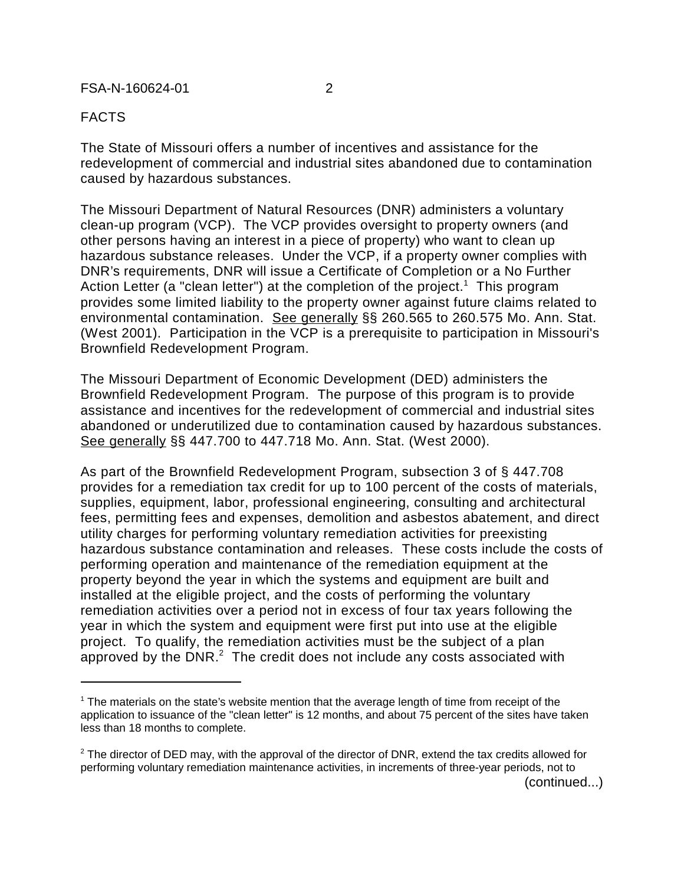## FACTS

The State of Missouri offers a number of incentives and assistance for the redevelopment of commercial and industrial sites abandoned due to contamination caused by hazardous substances.

The Missouri Department of Natural Resources (DNR) administers a voluntary clean-up program (VCP). The VCP provides oversight to property owners (and other persons having an interest in a piece of property) who want to clean up hazardous substance releases. Under the VCP, if a property owner complies with DNR's requirements, DNR will issue a Certificate of Completion or a No Further Action Letter (a "clean letter") at the completion of the project.<sup>1</sup> This program provides some limited liability to the property owner against future claims related to environmental contamination. See generally §§ 260.565 to 260.575 Mo. Ann. Stat. (West 2001). Participation in the VCP is a prerequisite to participation in Missouri's Brownfield Redevelopment Program.

The Missouri Department of Economic Development (DED) administers the Brownfield Redevelopment Program. The purpose of this program is to provide assistance and incentives for the redevelopment of commercial and industrial sites abandoned or underutilized due to contamination caused by hazardous substances. See generally §§ 447.700 to 447.718 Mo. Ann. Stat. (West 2000).

As part of the Brownfield Redevelopment Program, subsection 3 of § 447.708 provides for a remediation tax credit for up to 100 percent of the costs of materials, supplies, equipment, labor, professional engineering, consulting and architectural fees, permitting fees and expenses, demolition and asbestos abatement, and direct utility charges for performing voluntary remediation activities for preexisting hazardous substance contamination and releases. These costs include the costs of performing operation and maintenance of the remediation equipment at the property beyond the year in which the systems and equipment are built and installed at the eligible project, and the costs of performing the voluntary remediation activities over a period not in excess of four tax years following the year in which the system and equipment were first put into use at the eligible project. To qualify, the remediation activities must be the subject of a plan approved by the DNR. $^2$  The credit does not include any costs associated with

(continued...)

<sup>&</sup>lt;sup>1</sup> The materials on the state's website mention that the average length of time from receipt of the application to issuance of the "clean letter" is 12 months, and about 75 percent of the sites have taken less than 18 months to complete.

 $2$  The director of DED may, with the approval of the director of DNR, extend the tax credits allowed for performing voluntary remediation maintenance activities, in increments of three-year periods, not to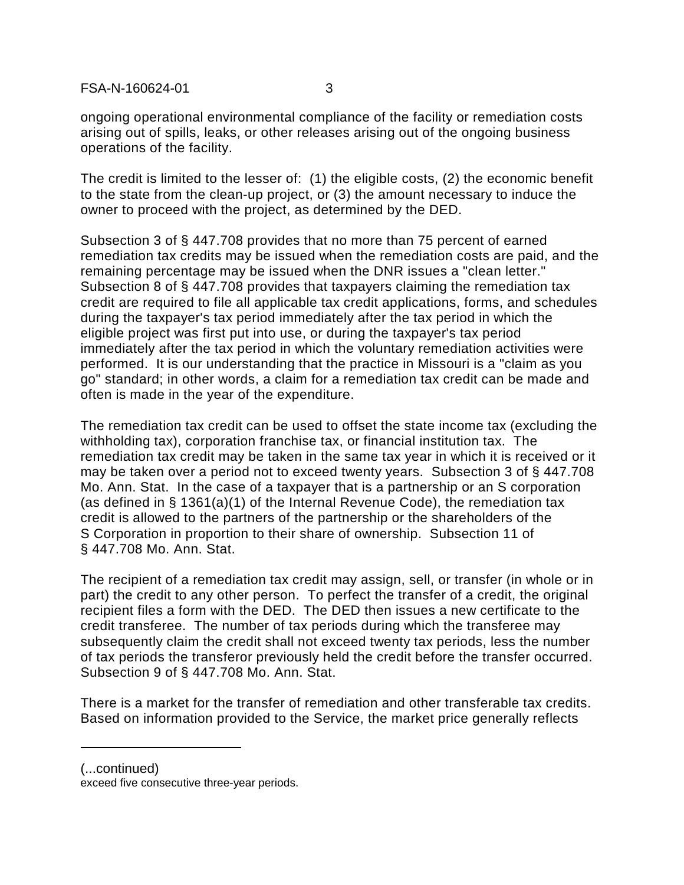ongoing operational environmental compliance of the facility or remediation costs arising out of spills, leaks, or other releases arising out of the ongoing business operations of the facility.

The credit is limited to the lesser of: (1) the eligible costs, (2) the economic benefit to the state from the clean-up project, or (3) the amount necessary to induce the owner to proceed with the project, as determined by the DED.

Subsection 3 of § 447.708 provides that no more than 75 percent of earned remediation tax credits may be issued when the remediation costs are paid, and the remaining percentage may be issued when the DNR issues a "clean letter." Subsection 8 of § 447.708 provides that taxpayers claiming the remediation tax credit are required to file all applicable tax credit applications, forms, and schedules during the taxpayer's tax period immediately after the tax period in which the eligible project was first put into use, or during the taxpayer's tax period immediately after the tax period in which the voluntary remediation activities were performed. It is our understanding that the practice in Missouri is a "claim as you go" standard; in other words, a claim for a remediation tax credit can be made and often is made in the year of the expenditure.

The remediation tax credit can be used to offset the state income tax (excluding the withholding tax), corporation franchise tax, or financial institution tax. The remediation tax credit may be taken in the same tax year in which it is received or it may be taken over a period not to exceed twenty years. Subsection 3 of § 447.708 Mo. Ann. Stat. In the case of a taxpayer that is a partnership or an S corporation (as defined in § 1361(a)(1) of the Internal Revenue Code), the remediation tax credit is allowed to the partners of the partnership or the shareholders of the S Corporation in proportion to their share of ownership. Subsection 11 of § 447.708 Mo. Ann. Stat.

The recipient of a remediation tax credit may assign, sell, or transfer (in whole or in part) the credit to any other person. To perfect the transfer of a credit, the original recipient files a form with the DED. The DED then issues a new certificate to the credit transferee. The number of tax periods during which the transferee may subsequently claim the credit shall not exceed twenty tax periods, less the number of tax periods the transferor previously held the credit before the transfer occurred. Subsection 9 of § 447.708 Mo. Ann. Stat.

There is a market for the transfer of remediation and other transferable tax credits. Based on information provided to the Service, the market price generally reflects

(...continued)

exceed five consecutive three-year periods.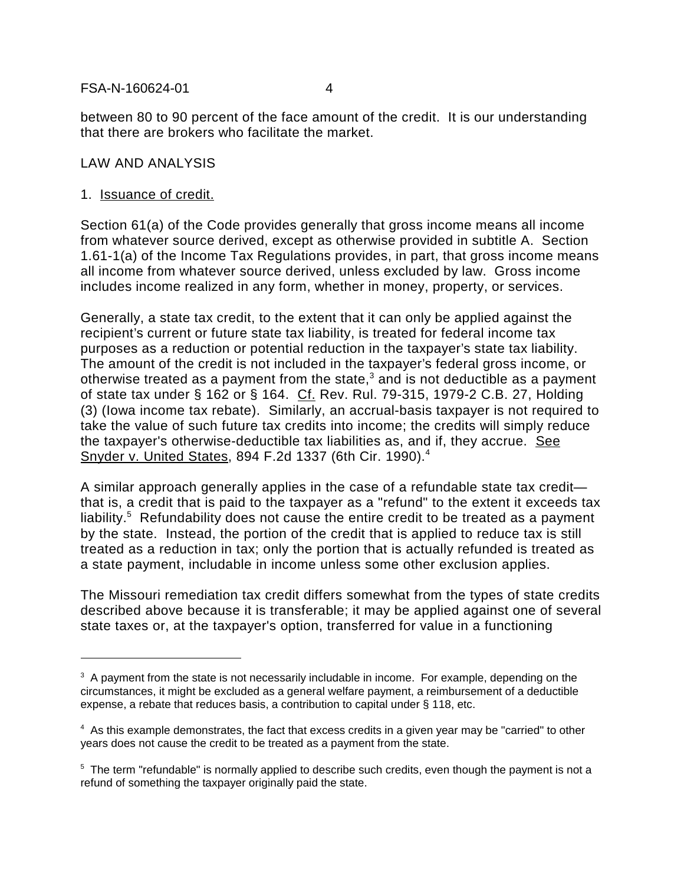between 80 to 90 percent of the face amount of the credit. It is our understanding that there are brokers who facilitate the market.

# LAW AND ANALYSIS

## 1. Issuance of credit.

Section 61(a) of the Code provides generally that gross income means all income from whatever source derived, except as otherwise provided in subtitle A. Section 1.61-1(a) of the Income Tax Regulations provides, in part, that gross income means all income from whatever source derived, unless excluded by law. Gross income includes income realized in any form, whether in money, property, or services.

Generally, a state tax credit, to the extent that it can only be applied against the recipient's current or future state tax liability, is treated for federal income tax purposes as a reduction or potential reduction in the taxpayer's state tax liability. The amount of the credit is not included in the taxpayer's federal gross income, or otherwise treated as a payment from the state, $^3$  and is not deductible as a payment of state tax under § 162 or § 164. Cf. Rev. Rul. 79-315, 1979-2 C.B. 27, Holding (3) (Iowa income tax rebate). Similarly, an accrual-basis taxpayer is not required to take the value of such future tax credits into income; the credits will simply reduce the taxpayer's otherwise-deductible tax liabilities as, and if, they accrue. See Snyder v. United States, 894 F.2d 1337 (6th Cir. 1990).4

A similar approach generally applies in the case of a refundable state tax credit that is, a credit that is paid to the taxpayer as a "refund" to the extent it exceeds tax liability.<sup>5</sup> Refundability does not cause the entire credit to be treated as a payment by the state. Instead, the portion of the credit that is applied to reduce tax is still treated as a reduction in tax; only the portion that is actually refunded is treated as a state payment, includable in income unless some other exclusion applies.

The Missouri remediation tax credit differs somewhat from the types of state credits described above because it is transferable; it may be applied against one of several state taxes or, at the taxpayer's option, transferred for value in a functioning

 $3$  A payment from the state is not necessarily includable in income. For example, depending on the circumstances, it might be excluded as a general welfare payment, a reimbursement of a deductible expense, a rebate that reduces basis, a contribution to capital under § 118, etc.

<sup>&</sup>lt;sup>4</sup> As this example demonstrates, the fact that excess credits in a given year may be "carried" to other years does not cause the credit to be treated as a payment from the state.

<sup>&</sup>lt;sup>5</sup> The term "refundable" is normally applied to describe such credits, even though the payment is not a refund of something the taxpayer originally paid the state.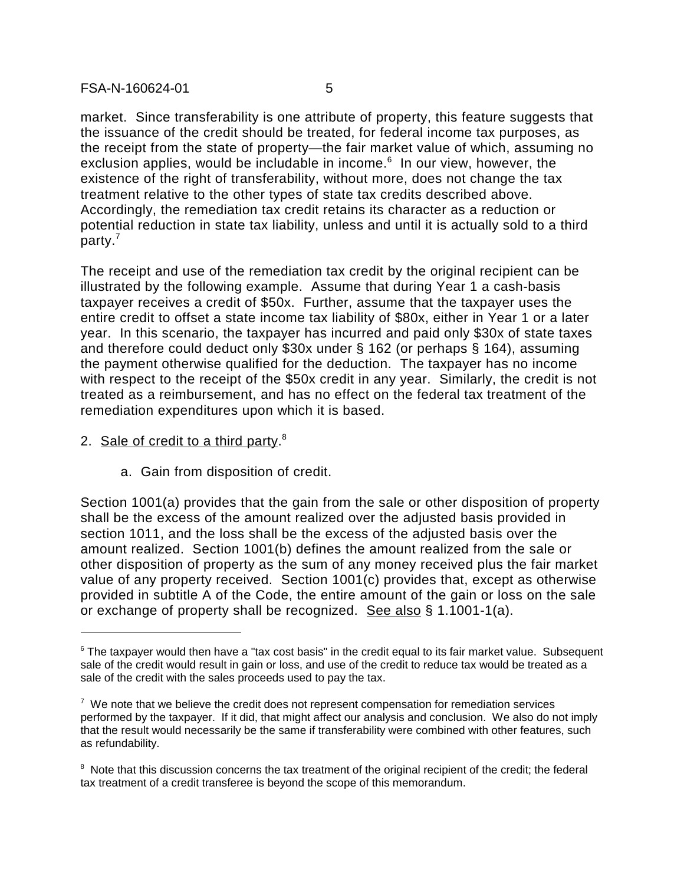market. Since transferability is one attribute of property, this feature suggests that the issuance of the credit should be treated, for federal income tax purposes, as the receipt from the state of property—the fair market value of which, assuming no exclusion applies, would be includable in income.<sup>6</sup> In our view, however, the existence of the right of transferability, without more, does not change the tax treatment relative to the other types of state tax credits described above. Accordingly, the remediation tax credit retains its character as a reduction or potential reduction in state tax liability, unless and until it is actually sold to a third party.7

The receipt and use of the remediation tax credit by the original recipient can be illustrated by the following example. Assume that during Year 1 a cash-basis taxpayer receives a credit of \$50x. Further, assume that the taxpayer uses the entire credit to offset a state income tax liability of \$80x, either in Year 1 or a later year. In this scenario, the taxpayer has incurred and paid only \$30x of state taxes and therefore could deduct only \$30x under § 162 (or perhaps § 164), assuming the payment otherwise qualified for the deduction. The taxpayer has no income with respect to the receipt of the \$50x credit in any year. Similarly, the credit is not treated as a reimbursement, and has no effect on the federal tax treatment of the remediation expenditures upon which it is based.

- 2. Sale of credit to a third party.<sup>8</sup>
	- a. Gain from disposition of credit.

Section 1001(a) provides that the gain from the sale or other disposition of property shall be the excess of the amount realized over the adjusted basis provided in section 1011, and the loss shall be the excess of the adjusted basis over the amount realized. Section 1001(b) defines the amount realized from the sale or other disposition of property as the sum of any money received plus the fair market value of any property received. Section 1001(c) provides that, except as otherwise provided in subtitle A of the Code, the entire amount of the gain or loss on the sale or exchange of property shall be recognized. See also § 1.1001-1(a).

 $6$  The taxpayer would then have a "tax cost basis" in the credit equal to its fair market value. Subsequent sale of the credit would result in gain or loss, and use of the credit to reduce tax would be treated as a sale of the credit with the sales proceeds used to pay the tax.

 $7$  We note that we believe the credit does not represent compensation for remediation services performed by the taxpayer. If it did, that might affect our analysis and conclusion. We also do not imply that the result would necessarily be the same if transferability were combined with other features, such as refundability.

<sup>&</sup>lt;sup>8</sup> Note that this discussion concerns the tax treatment of the original recipient of the credit; the federal tax treatment of a credit transferee is beyond the scope of this memorandum.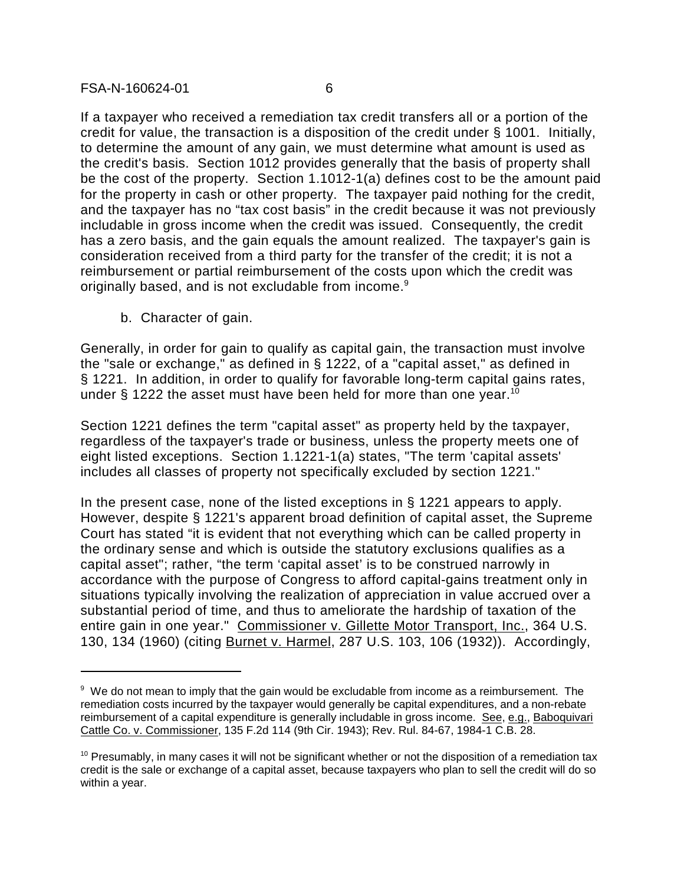If a taxpayer who received a remediation tax credit transfers all or a portion of the credit for value, the transaction is a disposition of the credit under § 1001. Initially, to determine the amount of any gain, we must determine what amount is used as the credit's basis. Section 1012 provides generally that the basis of property shall be the cost of the property. Section 1.1012-1(a) defines cost to be the amount paid for the property in cash or other property. The taxpayer paid nothing for the credit, and the taxpayer has no "tax cost basis" in the credit because it was not previously includable in gross income when the credit was issued. Consequently, the credit has a zero basis, and the gain equals the amount realized. The taxpayer's gain is consideration received from a third party for the transfer of the credit; it is not a reimbursement or partial reimbursement of the costs upon which the credit was originally based, and is not excludable from income.<sup>9</sup>

b. Character of gain.

Generally, in order for gain to qualify as capital gain, the transaction must involve the "sale or exchange," as defined in § 1222, of a "capital asset," as defined in § 1221. In addition, in order to qualify for favorable long-term capital gains rates, under  $\S$  1222 the asset must have been held for more than one year.<sup>10</sup>

Section 1221 defines the term "capital asset" as property held by the taxpayer, regardless of the taxpayer's trade or business, unless the property meets one of eight listed exceptions. Section 1.1221-1(a) states, "The term 'capital assets' includes all classes of property not specifically excluded by section 1221."

In the present case, none of the listed exceptions in § 1221 appears to apply. However, despite § 1221's apparent broad definition of capital asset, the Supreme Court has stated "it is evident that not everything which can be called property in the ordinary sense and which is outside the statutory exclusions qualifies as a capital asset"; rather, "the term 'capital asset' is to be construed narrowly in accordance with the purpose of Congress to afford capital-gains treatment only in situations typically involving the realization of appreciation in value accrued over a substantial period of time, and thus to ameliorate the hardship of taxation of the entire gain in one year." Commissioner v. Gillette Motor Transport, Inc., 364 U.S. 130, 134 (1960) (citing Burnet v. Harmel, 287 U.S. 103, 106 (1932)). Accordingly,

 $9\,$  We do not mean to imply that the gain would be excludable from income as a reimbursement. The remediation costs incurred by the taxpayer would generally be capital expenditures, and a non-rebate reimbursement of a capital expenditure is generally includable in gross income. See, e.g., Baboquivari Cattle Co. v. Commissioner, 135 F.2d 114 (9th Cir. 1943); Rev. Rul. 84-67, 1984-1 C.B. 28.

 $10$  Presumably, in many cases it will not be significant whether or not the disposition of a remediation tax credit is the sale or exchange of a capital asset, because taxpayers who plan to sell the credit will do so within a year.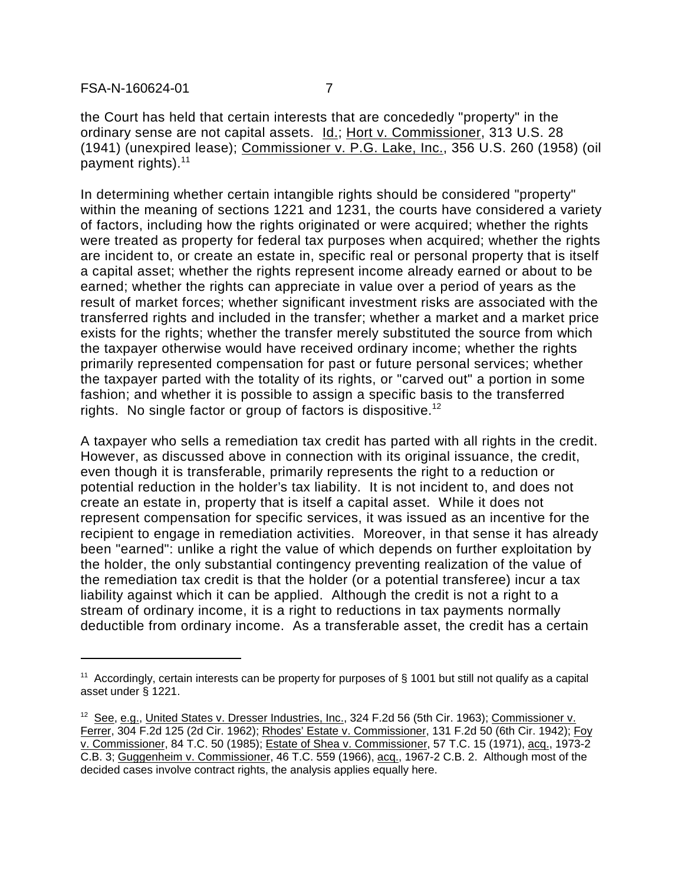the Court has held that certain interests that are concededly "property" in the ordinary sense are not capital assets. Id.; Hort v. Commissioner, 313 U.S. 28 (1941) (unexpired lease); Commissioner v. P.G. Lake, Inc., 356 U.S. 260 (1958) (oil payment rights). $11$ 

In determining whether certain intangible rights should be considered "property" within the meaning of sections 1221 and 1231, the courts have considered a variety of factors, including how the rights originated or were acquired; whether the rights were treated as property for federal tax purposes when acquired; whether the rights are incident to, or create an estate in, specific real or personal property that is itself a capital asset; whether the rights represent income already earned or about to be earned; whether the rights can appreciate in value over a period of years as the result of market forces; whether significant investment risks are associated with the transferred rights and included in the transfer; whether a market and a market price exists for the rights; whether the transfer merely substituted the source from which the taxpayer otherwise would have received ordinary income; whether the rights primarily represented compensation for past or future personal services; whether the taxpayer parted with the totality of its rights, or "carved out" a portion in some fashion; and whether it is possible to assign a specific basis to the transferred rights. No single factor or group of factors is dispositive.<sup>12</sup>

A taxpayer who sells a remediation tax credit has parted with all rights in the credit. However, as discussed above in connection with its original issuance, the credit, even though it is transferable, primarily represents the right to a reduction or potential reduction in the holder's tax liability. It is not incident to, and does not create an estate in, property that is itself a capital asset. While it does not represent compensation for specific services, it was issued as an incentive for the recipient to engage in remediation activities. Moreover, in that sense it has already been "earned": unlike a right the value of which depends on further exploitation by the holder, the only substantial contingency preventing realization of the value of the remediation tax credit is that the holder (or a potential transferee) incur a tax liability against which it can be applied. Although the credit is not a right to a stream of ordinary income, it is a right to reductions in tax payments normally deductible from ordinary income. As a transferable asset, the credit has a certain

<sup>&</sup>lt;sup>11</sup> Accordingly, certain interests can be property for purposes of  $\S$  1001 but still not qualify as a capital asset under § 1221.

<sup>&</sup>lt;sup>12</sup> See, e.g., United States v. Dresser Industries, Inc., 324 F.2d 56 (5th Cir. 1963); Commissioner v. Ferrer, 304 F.2d 125 (2d Cir. 1962); Rhodes' Estate v. Commissioner, 131 F.2d 50 (6th Cir. 1942); Foy v. Commissioner, 84 T.C. 50 (1985); Estate of Shea v. Commissioner, 57 T.C. 15 (1971), acq., 1973-2 C.B. 3; Guggenheim v. Commissioner, 46 T.C. 559 (1966), acq., 1967-2 C.B. 2. Although most of the decided cases involve contract rights, the analysis applies equally here.